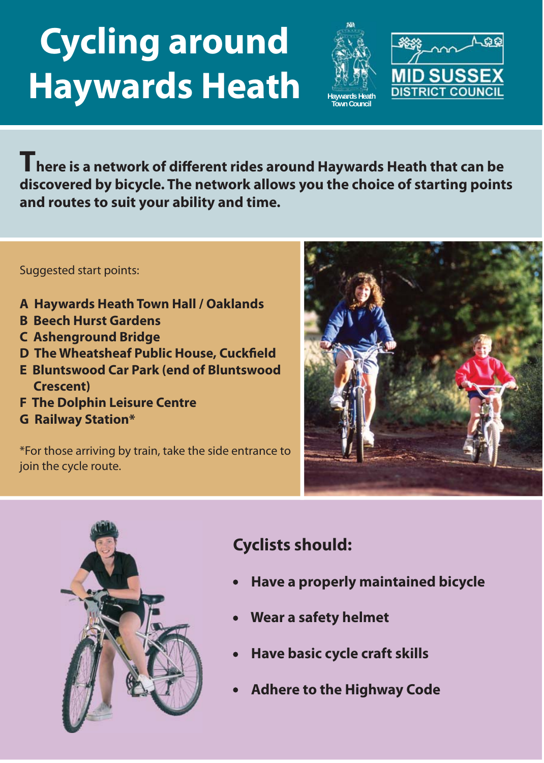# **Cycling around Haywards Heath**





**There is a network of different rides around Haywards Heath that can be discovered by bicycle. The network allows you the choice of starting points and routes to suit your ability and time.**

#### Suggested start points:

- **A Haywards Heath Town Hall / Oaklands**
- **B Beech Hurst Gardens**
- **C Ashenground Bridge**
- **D The Wheatsheaf Public House, Cuckfield**
- **E Bluntswood Car Park (end of Bluntswood Crescent)**
- **F The Dolphin Leisure Centre**
- **G Railway Station\***

\*For those arriving by train, take the side entrance to join the cycle route.





## **Cyclists should:**

- **Have a properly maintained bicycle**
- **Wear a safety helmet**
- **Have basic cycle craft skills**
- **Adhere to the Highway Code**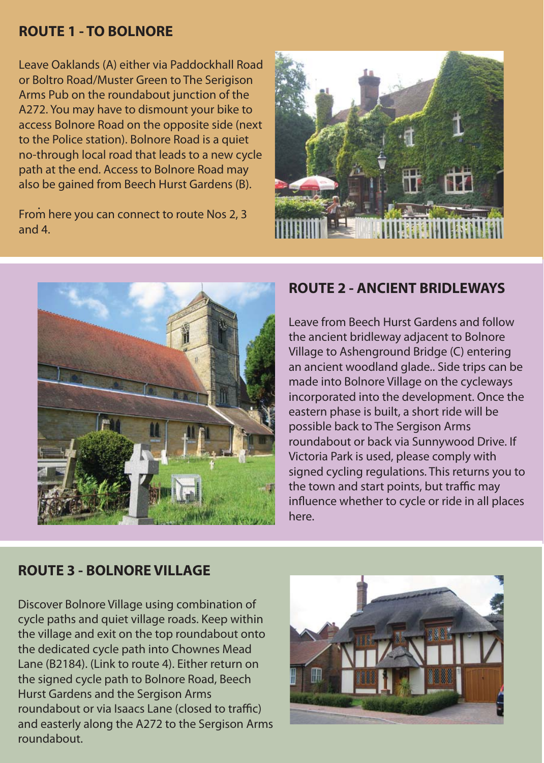#### **ROUTE 1 - TO BOLNORE**

 path at the end. Access to Bolnore Road may Leave Oaklands (A) either via Paddockhall Road or Boltro Road/Muster Green to The Serigison Arms Pub on the roundabout junction of the A272. You may have to dismount your bike to access Bolnore Road on the opposite side (next to the Police station). Bolnore Road is a quiet no-through local road that leads to a new cycle also be gained from Beech Hurst Gardens (B).

. From here you can connect to route Nos 2, 3 and 4.





#### **ROUTE 2 - ANCIENT BRIDLEWAYS**

Leave from Beech Hurst Gardens and follow the ancient bridleway adjacent to Bolnore Village to Ashenground Bridge (C) entering an ancient woodland glade.. Side trips can be made into Bolnore Village on the cycleways incorporated into the development. Once the eastern phase is built, a short ride will be possible back to The Sergison Arms roundabout or back via Sunnywood Drive. If Victoria Park is used, please comply with signed cycling regulations. This returns you to the town and start points, but traffic may influence whether to cycle or ride in all places here.

#### **ROUTE 3 - BOLNORE VILLAGE**

Discover Bolnore Village using combination of cycle paths and quiet village roads. Keep within the village and exit on the top roundabout onto the dedicated cycle path into Chownes Mead Lane (B2184). (Link to route 4). Either return on the signed cycle path to Bolnore Road, Beech Hurst Gardens and the Sergison Arms roundabout or via Isaacs Lane (closed to traffic) and easterly along the A272 to the Sergison Arms roundabout.

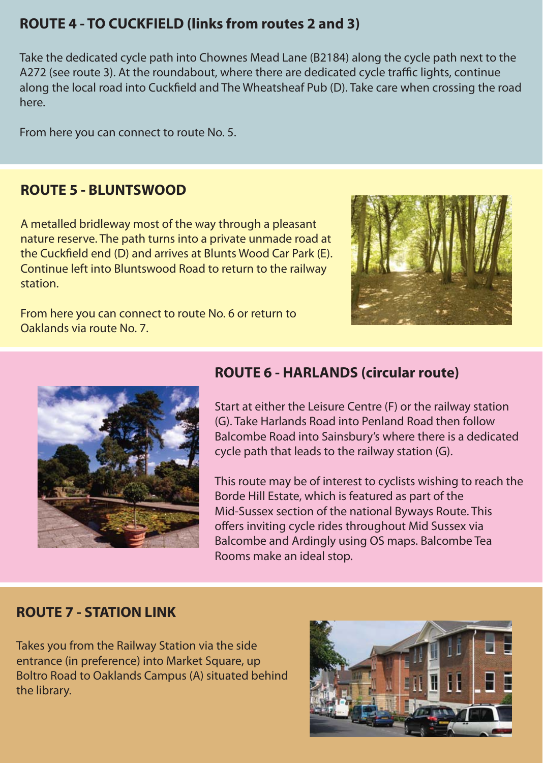### **ROUTE 4 - TO CUCKFIELD (links from routes 2 and 3)**

Take the dedicated cycle path into Chownes Mead Lane (B2184) along the cycle path next to the A272 (see route 3). At the roundabout, where there are dedicated cycle traffic lights, continue along the local road into Cuckfield and The Wheatsheaf Pub (D). Take care when crossing the road here.

From here you can connect to route No. 5.

#### **ROUTE 5 - BLUNTSWOOD**

A metalled bridleway most of the way through a pleasant nature reserve. The path turns into a private unmade road at the Cuckfield end (D) and arrives at Blunts Wood Car Park (E). Continue left into Bluntswood Road to return to the railway station.

From here you can connect to route No. 6 or return to Oaklands via route No. 7.





#### **ROUTE 6 - HARLANDS (circular route)**

Start at either the Leisure Centre (F) or the railway station (G). Take Harlands Road into Penland Road then follow Balcombe Road into Sainsbury's where there is a dedicated cycle path that leads to the railway station (G).

This route may be of interest to cyclists wishing to reach the Borde Hill Estate, which is featured as part of the Mid-Sussex section of the national Byways Route. This offers inviting cycle rides throughout Mid Sussex via Balcombe and Ardingly using OS maps. Balcombe Tea Rooms make an ideal stop.

#### **ROUTE 7 - STATION LINK**

Takes you from the Railway Station via the side entrance (in preference) into Market Square, up Boltro Road to Oaklands Campus (A) situated behind the library.